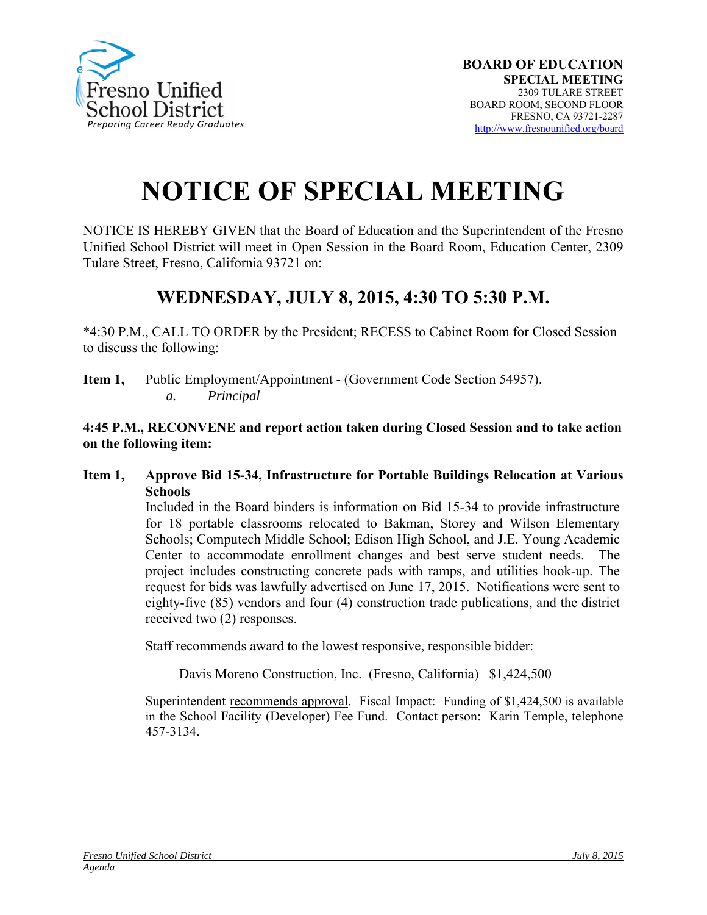

## **NOTICE OF SPECIAL MEETING**

NOTICE IS HEREBY GIVEN that the Board of Education and the Superintendent of the Fresno Unified School District will meet in Open Session in the Board Room, Education Center, 2309 Tulare Street, Fresno, California 93721 on:

## **WEDNESDAY, JULY 8, 2015, 4:30 TO 5:30 P.M.**

\*4:30 P.M., CALL TO ORDER by the President; RECESS to Cabinet Room for Closed Session to discuss the following:

**Item 1,** Public Employment/Appointment - (Government Code Section 54957). *a. Principal* 

## **4:45 P.M., RECONVENE and report action taken during Closed Session and to take action on the following item:**

**Item 1, Approve Bid 15-34, Infrastructure for Portable Buildings Relocation at Various Schools** 

> Included in the Board binders is information on Bid 15-34 to provide infrastructure for 18 portable classrooms relocated to Bakman, Storey and Wilson Elementary Schools; Computech Middle School; Edison High School, and J.E. Young Academic Center to accommodate enrollment changes and best serve student needs. The project includes constructing concrete pads with ramps, and utilities hook-up. The request for bids was lawfully advertised on June 17, 2015. Notifications were sent to eighty-five (85) vendors and four (4) construction trade publications, and the district received two (2) responses.

Staff recommends award to the lowest responsive, responsible bidder:

Davis Moreno Construction, Inc. (Fresno, California) \$1,424,500

Superintendent recommends approval. Fiscal Impact: Funding of \$1,424,500 is available in the School Facility (Developer) Fee Fund. Contact person: Karin Temple, telephone 457-3134.